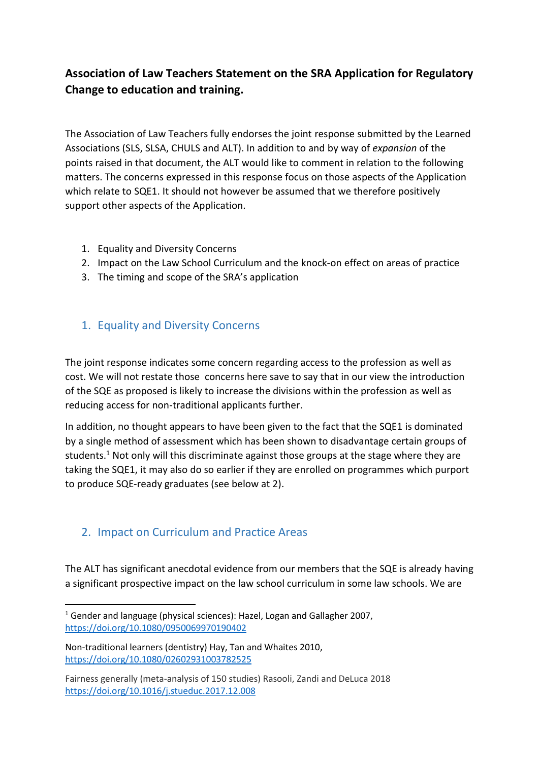## **Association of Law Teachers Statement on the SRA Application for Regulatory Change to education and training.**

The Association of Law Teachers fully endorses the joint response submitted by the Learned Associations (SLS, SLSA, CHULS and ALT). In addition to and by way of *expansion* of the points raised in that document, the ALT would like to comment in relation to the following matters. The concerns expressed in this response focus on those aspects of the Application which relate to SQE1. It should not however be assumed that we therefore positively support other aspects of the Application.

- 1. Equality and Diversity Concerns
- 2. Impact on the Law School Curriculum and the knock-on effect on areas of practice
- 3. The timing and scope of the SRA's application

## 1. Equality and Diversity Concerns

The joint response indicates some concern regarding access to the profession as well as cost. We will not restate those concerns here save to say that in our view the introduction of the SQE as proposed is likely to increase the divisions within the profession as well as reducing access for non-traditional applicants further.

In addition, no thought appears to have been given to the fact that the SQE1 is dominated by a single method of assessment which has been shown to disadvantage certain groups of students.<sup>1</sup> Not only will this discriminate against those groups at the stage where they are taking the SQE1, it may also do so earlier if they are enrolled on programmes which purport to produce SQE-ready graduates (see below at 2).

## 2. Impact on Curriculum and Practice Areas

The ALT has significant anecdotal evidence from our members that the SQE is already having a significant prospective impact on the law school curriculum in some law schools. We are

**.** 

<sup>&</sup>lt;sup>1</sup> Gender and language (physical sciences): Hazel, Logan and Gallagher 2007, <https://doi.org/10.1080/0950069970190402>

Non-traditional learners (dentistry) Hay, Tan and Whaites 2010, <https://doi.org/10.1080/02602931003782525>

Fairness generally (meta-analysis of 150 studies) Rasooli, Zandi and DeLuca 2018 <https://doi.org/10.1016/j.stueduc.2017.12.008>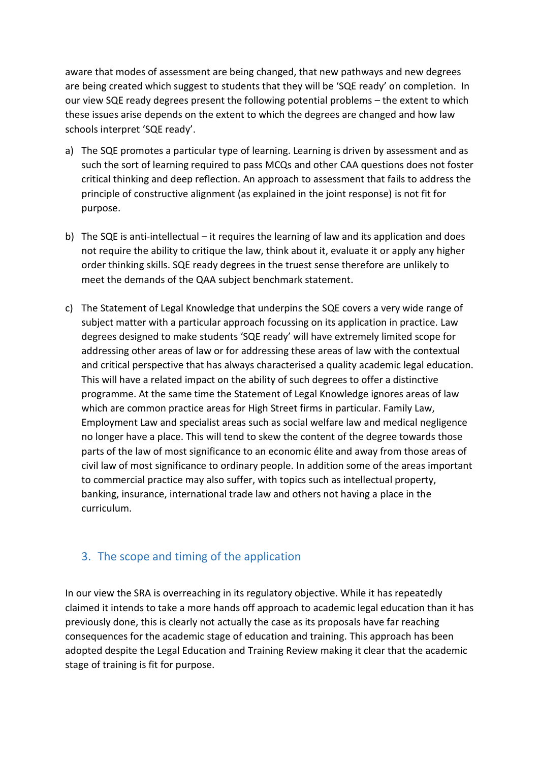aware that modes of assessment are being changed, that new pathways and new degrees are being created which suggest to students that they will be 'SQE ready' on completion. In our view SQE ready degrees present the following potential problems – the extent to which these issues arise depends on the extent to which the degrees are changed and how law schools interpret 'SQE ready'.

- a) The SQE promotes a particular type of learning. Learning is driven by assessment and as such the sort of learning required to pass MCQs and other CAA questions does not foster critical thinking and deep reflection. An approach to assessment that fails to address the principle of constructive alignment (as explained in the joint response) is not fit for purpose.
- b) The SQE is anti-intellectual it requires the learning of law and its application and does not require the ability to critique the law, think about it, evaluate it or apply any higher order thinking skills. SQE ready degrees in the truest sense therefore are unlikely to meet the demands of the QAA subject benchmark statement.
- c) The Statement of Legal Knowledge that underpins the SQE covers a very wide range of subject matter with a particular approach focussing on its application in practice. Law degrees designed to make students 'SQE ready' will have extremely limited scope for addressing other areas of law or for addressing these areas of law with the contextual and critical perspective that has always characterised a quality academic legal education. This will have a related impact on the ability of such degrees to offer a distinctive programme. At the same time the Statement of Legal Knowledge ignores areas of law which are common practice areas for High Street firms in particular. Family Law, Employment Law and specialist areas such as social welfare law and medical negligence no longer have a place. This will tend to skew the content of the degree towards those parts of the law of most significance to an economic élite and away from those areas of civil law of most significance to ordinary people. In addition some of the areas important to commercial practice may also suffer, with topics such as intellectual property, banking, insurance, international trade law and others not having a place in the curriculum.

## 3. The scope and timing of the application

In our view the SRA is overreaching in its regulatory objective. While it has repeatedly claimed it intends to take a more hands off approach to academic legal education than it has previously done, this is clearly not actually the case as its proposals have far reaching consequences for the academic stage of education and training. This approach has been adopted despite the Legal Education and Training Review making it clear that the academic stage of training is fit for purpose.